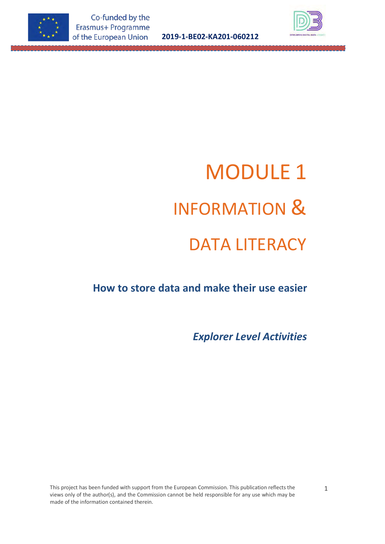



# MODULE 1 INFORMATION & DATA LITERACY

# **How to store data and make their use easier**

*Explorer Level Activities*

This project has been funded with support from the European Commission. This publication reflects the views only of the author(s), and the Commission cannot be held responsible for any use which may be made of the information contained therein.